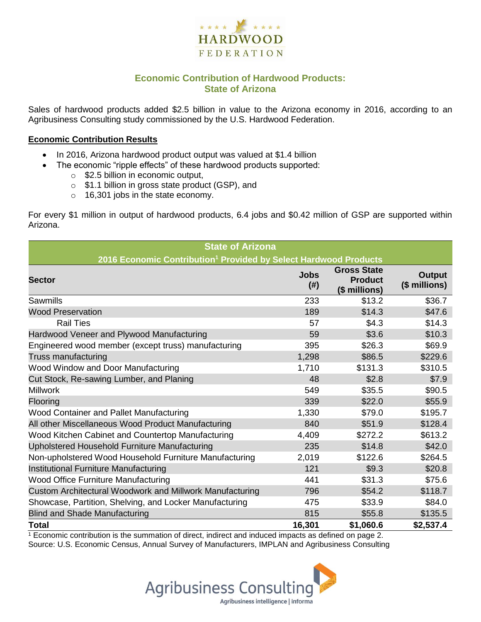

## **Economic Contribution of Hardwood Products: State of Arizona**

Sales of hardwood products added \$2.5 billion in value to the Arizona economy in 2016, according to an Agribusiness Consulting study commissioned by the U.S. Hardwood Federation.

#### **Economic Contribution Results**

- In 2016, Arizona hardwood product output was valued at \$1.4 billion
	- The economic "ripple effects" of these hardwood products supported:
		- o \$2.5 billion in economic output,
		- o \$1.1 billion in gross state product (GSP), and
		- o 16,301 jobs in the state economy.

For every \$1 million in output of hardwood products, 6.4 jobs and \$0.42 million of GSP are supported within Arizona.

| <b>State of Arizona</b>                                                      |                     |                                                       |                                |  |  |  |
|------------------------------------------------------------------------------|---------------------|-------------------------------------------------------|--------------------------------|--|--|--|
| 2016 Economic Contribution <sup>1</sup> Provided by Select Hardwood Products |                     |                                                       |                                |  |  |  |
| <b>Sector</b>                                                                | <b>Jobs</b><br>(# ) | <b>Gross State</b><br><b>Product</b><br>(\$ millions) | <b>Output</b><br>(\$ millions) |  |  |  |
| Sawmills                                                                     | 233                 | \$13.2                                                | \$36.7                         |  |  |  |
| <b>Wood Preservation</b>                                                     | 189                 | \$14.3                                                | \$47.6                         |  |  |  |
| <b>Rail Ties</b>                                                             | 57                  | \$4.3                                                 | \$14.3                         |  |  |  |
| Hardwood Veneer and Plywood Manufacturing                                    | 59                  | \$3.6                                                 | \$10.3                         |  |  |  |
| Engineered wood member (except truss) manufacturing                          | 395                 | \$26.3                                                | \$69.9                         |  |  |  |
| Truss manufacturing                                                          | 1,298               | \$86.5                                                | \$229.6                        |  |  |  |
| Wood Window and Door Manufacturing                                           | 1,710               | \$131.3                                               | \$310.5                        |  |  |  |
| Cut Stock, Re-sawing Lumber, and Planing                                     | 48                  | \$2.8                                                 | \$7.9                          |  |  |  |
| <b>Millwork</b>                                                              | 549                 | \$35.5                                                | \$90.5                         |  |  |  |
| Flooring                                                                     | 339                 | \$22.0                                                | \$55.9                         |  |  |  |
| Wood Container and Pallet Manufacturing                                      | 1,330               | \$79.0                                                | \$195.7                        |  |  |  |
| All other Miscellaneous Wood Product Manufacturing                           | 840                 | \$51.9                                                | \$128.4                        |  |  |  |
| Wood Kitchen Cabinet and Countertop Manufacturing                            | 4,409               | \$272.2                                               | \$613.2                        |  |  |  |
| Upholstered Household Furniture Manufacturing                                | 235                 | \$14.8                                                | \$42.0                         |  |  |  |
| Non-upholstered Wood Household Furniture Manufacturing                       | 2,019               | \$122.6                                               | \$264.5                        |  |  |  |
| Institutional Furniture Manufacturing                                        | 121                 | \$9.3                                                 | \$20.8                         |  |  |  |
| <b>Wood Office Furniture Manufacturing</b>                                   | 441                 | \$31.3                                                | \$75.6                         |  |  |  |
| Custom Architectural Woodwork and Millwork Manufacturing                     | 796                 | \$54.2                                                | \$118.7                        |  |  |  |
| Showcase, Partition, Shelving, and Locker Manufacturing                      | 475                 | \$33.9                                                | \$84.0                         |  |  |  |
| <b>Blind and Shade Manufacturing</b>                                         | 815                 | \$55.8                                                | \$135.5                        |  |  |  |
| <b>Total</b>                                                                 | 16,301              | \$1,060.6                                             | \$2,537.4                      |  |  |  |

 $1$  Economic contribution is the summation of direct, indirect and induced impacts as defined on page 2. Source: U.S. Economic Census, Annual Survey of Manufacturers, IMPLAN and Agribusiness Consulting